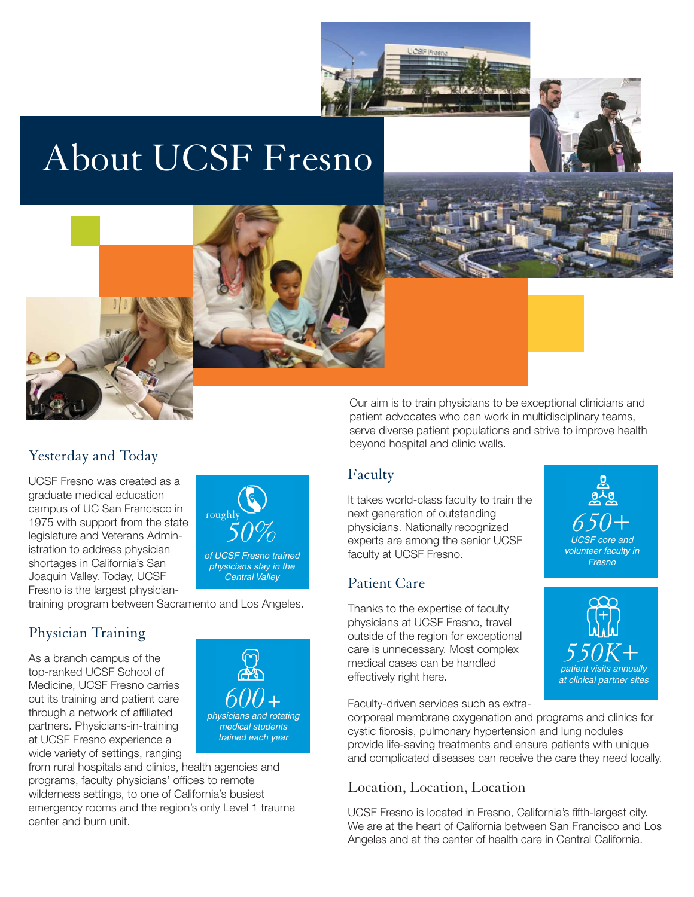

## About UCSF Fresno





### Yesterday and Today

UCSF Fresno was created as a graduate medical education campus of UC San Francisco in 1975 with support from the state legislature and Veterans Administration to address physician shortages in California's San Joaquin Valley. Today, UCSF Fresno is the largest physician-

training program between Sacramento and Los Angeles.

### Physician Training

As a branch campus of the top-ranked UCSF School of Medicine, UCSF Fresno carries out its training and patient care through a network of affiliated partners. Physicians-in-training at UCSF Fresno experience a wide variety of settings, ranging



of UCSF Fresno trained physicians stay in the Central Valley

from rural hospitals and clinics, health agencies and programs, faculty physicians' offices to remote wilderness settings, to one of California's busiest emergency rooms and the region's only Level 1 trauma center and burn unit.

Our aim is to train physicians to be exceptional clinicians and patient advocates who can work in multidisciplinary teams, serve diverse patient populations and strive to improve health beyond hospital and clinic walls.

### Faculty

It takes world-class faculty to train the next generation of outstanding physicians. Nationally recognized **650+**<br> **650+ roughly** physicians. Nationally recognized **650+** experts are among the senior UCSF faculty at UCSF Fresno.

#### Patient Care

Thanks to the expertise of faculty physicians at UCSF Fresno, travel outside of the region for exceptional care is unnecessary. Most complex medical cases can be handled effectively right here.

Faculty-driven services such as extra-

corporeal membrane oxygenation and programs and clinics for cystic fibrosis, pulmonary hypertension and lung nodules provide life-saving treatments and ensure patients with unique and complicated diseases can receive the care they need locally.

### Location, Location, Location

UCSF Fresno is located in Fresno, California's fifth-largest city. We are at the heart of California between San Francisco and Los Angeles and at the center of health care in Central California.